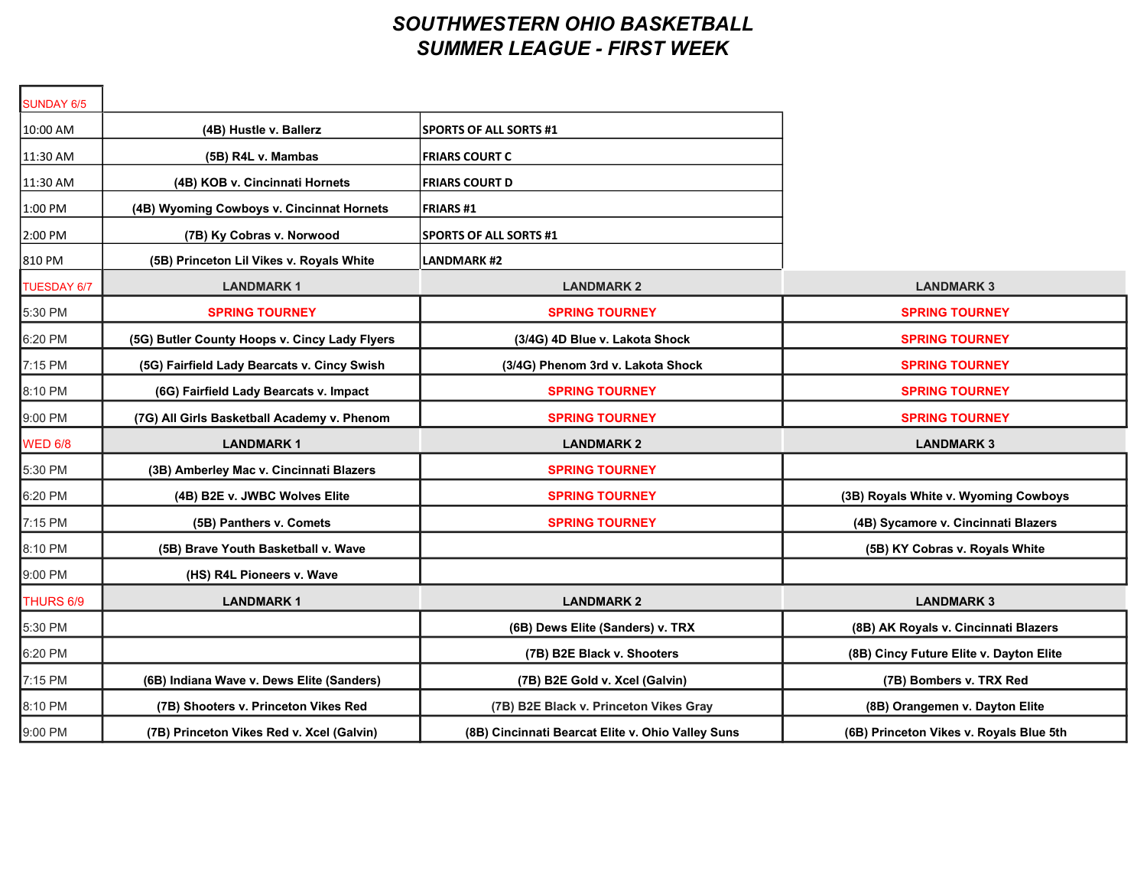## SOUTHWESTERN OHIO BASKETBALL SUMMER LEAGUE - FIRST WEEK

| SUNDAY 6/5         |                                               |                                                   |                                         |
|--------------------|-----------------------------------------------|---------------------------------------------------|-----------------------------------------|
| 10:00 AM           | (4B) Hustle v. Ballerz                        | <b>SPORTS OF ALL SORTS #1</b>                     |                                         |
| 11:30 AM           | (5B) R4L v. Mambas                            | <b>FRIARS COURT C</b>                             |                                         |
| 11:30 AM           | (4B) KOB v. Cincinnati Hornets                | <b>FRIARS COURT D</b>                             |                                         |
| 1:00 PM            | (4B) Wyoming Cowboys v. Cincinnat Hornets     | <b>FRIARS#1</b>                                   |                                         |
| 2:00 PM            | (7B) Ky Cobras v. Norwood                     | <b>SPORTS OF ALL SORTS #1</b>                     |                                         |
| 810 PM             | (5B) Princeton Lil Vikes v. Royals White      | <b>LANDMARK#2</b>                                 |                                         |
| <b>TUESDAY 6/7</b> | <b>LANDMARK1</b>                              | <b>LANDMARK 2</b>                                 | <b>LANDMARK 3</b>                       |
| 5:30 PM            | <b>SPRING TOURNEY</b>                         | <b>SPRING TOURNEY</b>                             | <b>SPRING TOURNEY</b>                   |
| 6:20 PM            | (5G) Butler County Hoops v. Cincy Lady Flyers | (3/4G) 4D Blue v. Lakota Shock                    | <b>SPRING TOURNEY</b>                   |
| 7:15 PM            | (5G) Fairfield Lady Bearcats v. Cincy Swish   | (3/4G) Phenom 3rd v. Lakota Shock                 | <b>SPRING TOURNEY</b>                   |
| 8:10 PM            | (6G) Fairfield Lady Bearcats v. Impact        | <b>SPRING TOURNEY</b>                             | <b>SPRING TOURNEY</b>                   |
| 9:00 PM            | (7G) All Girls Basketball Academy v. Phenom   | <b>SPRING TOURNEY</b>                             | <b>SPRING TOURNEY</b>                   |
| <b>WED 6/8</b>     | <b>LANDMARK1</b>                              | <b>LANDMARK 2</b>                                 | <b>LANDMARK 3</b>                       |
| 5:30 PM            | (3B) Amberley Mac v. Cincinnati Blazers       | <b>SPRING TOURNEY</b>                             |                                         |
| 6:20 PM            | (4B) B2E v. JWBC Wolves Elite                 | <b>SPRING TOURNEY</b>                             | (3B) Royals White v. Wyoming Cowboys    |
| 7:15 PM            | (5B) Panthers v. Comets                       | <b>SPRING TOURNEY</b>                             | (4B) Sycamore v. Cincinnati Blazers     |
| 8:10 PM            | (5B) Brave Youth Basketball v. Wave           |                                                   | (5B) KY Cobras v. Royals White          |
| 9:00 PM            | (HS) R4L Pioneers v. Wave                     |                                                   |                                         |
| THURS 6/9          | <b>LANDMARK1</b>                              | <b>LANDMARK 2</b>                                 | <b>LANDMARK 3</b>                       |
| 5:30 PM            |                                               | (6B) Dews Elite (Sanders) v. TRX                  | (8B) AK Royals v. Cincinnati Blazers    |
| 6:20 PM            |                                               | (7B) B2E Black v. Shooters                        | (8B) Cincy Future Elite v. Dayton Elite |
| 7:15 PM            | (6B) Indiana Wave v. Dews Elite (Sanders)     | (7B) B2E Gold v. Xcel (Galvin)                    | (7B) Bombers v. TRX Red                 |
| 8:10 PM            | (7B) Shooters v. Princeton Vikes Red          | (7B) B2E Black v. Princeton Vikes Gray            | (8B) Orangemen v. Dayton Elite          |
| 9:00 PM            | (7B) Princeton Vikes Red v. Xcel (Galvin)     | (8B) Cincinnati Bearcat Elite v. Ohio Valley Suns | (6B) Princeton Vikes v. Royals Blue 5th |